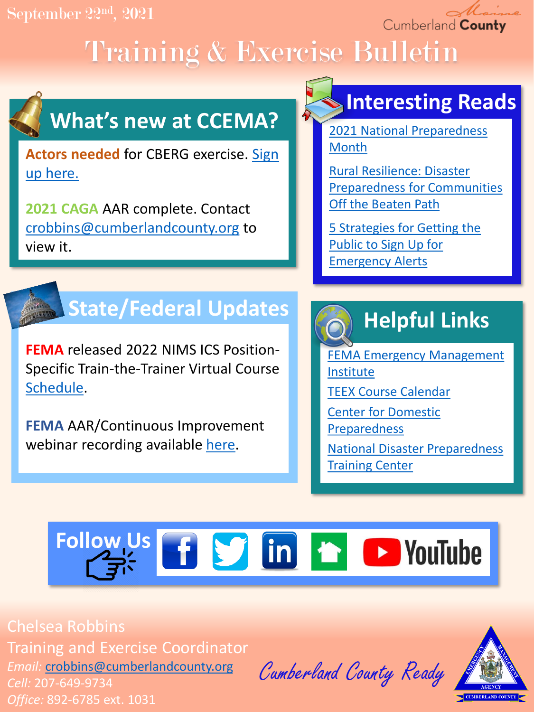September 22nd , 2021

Cumberland County

# Training & Exercise Bulletin



## **What's new at CCEMA?**

**Actors needed** [for CBERG exercise. Sign](https://docs.google.com/forms/d/e/1FAIpQLSfwBTC9FD-NVKkmrXIdF1GqMJKuLiLU1haVUIFsQpXWn6Wzzw/viewform?usp=sf_link) up here.

**2021 CAGA** AAR complete. Contact [crobbins@cumberlandcounty.org](mailto:crobbins@cumberlandcounty.org) to view it.

## **Interesting Reads**

[2021 National Preparedness](https://www.fema.gov/press-release/20210902/fema-announces-national-preparedness-month-urges-all-prepare-protect) Month

Rural Resilience: Disaster [Preparedness for Communities](https://hazards.colorado.edu/news/research-counts/rural-resilience-disaster-preparedness-for-communities-off-the-beaten-path) Off the Beaten Path

[5 Strategies for Getting the](https://www.govtech.com/public-safety/5-strategies-for-getting-the-public-to-sign-up-for-emergency-alerts.html) Public to Sign Up for Emergency Alerts

## **State/Federal Updates**

**FEMA** released 2022 NIMS ICS Position-Specific Train-the-Trainer Virtual Course [Schedule.](https://training.fema.gov/emigrams/2021/1670%20-%20training%20opportunity%20-%20revised%20-%20%20nims%20ics%20position%20specific%20ttt%20courses%20for%20academic%20year%202022.pdf?d=9/20/2021)

**FEMA** AAR/Continuous Improvement webinar recording available [here.](https://urldefense.us/v3/__https:/www.youtube.com/watch?v=ZZdt8bFtXYc__;!!BClRuOV5cvtbuNI!VLCKaCptAhDwf1t34x01hFIfB7ztM-DS8hA8JuYTcu8yqTUvokwBN621uHCakjjzgtHdzK-mGw8$)

## **Helpful Links**

[FEMA Emergency Management](https://training.fema.gov/is/) Institute [TEEX Course Calendar](https://teex.org/course-calendar/) [Center for Domestic](https://cdp.dhs.gov/)  Preparedness

[National Disaster Preparedness](https://ndptc.hawaii.edu/training/)  **Training Center** 

# Follow Us **f S** in **f D** YouTube

Chelsea Robbins Training and Exercise Coordinator *Email:* [crobbins@cumberlandcounty.org](mailto:crobbins@cumberlandcounty.org) *Cell:* 207-649-9734 *Office:* 892-6785 ext. 1031

Cumberland County Ready